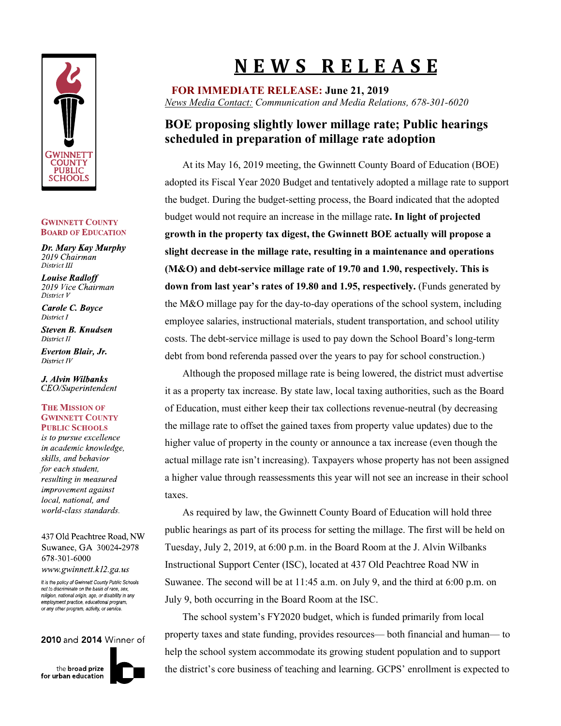

#### **GWINNETT COUNTY BOARD OF EDUCATION**

Dr. Mary Kay Murphy 2019 Chairman District III

**Louise Radloff** 2019 Vice Chairman District V

Carole C. Boyce District I

**Steven B. Knudsen** District II

**Everton Blair, Jr.** District IV

J. Alvin Wilbanks CEO/Superintendent

### **THE MISSION OF GWINNETT COUNTY PUBLIC SCHOOLS**

is to pursue excellence in academic knowledge, skills, and behavior for each student, resulting in measured improvement against local, national, and world-class standards.

437 Old Peachtree Road, NW Suwanee, GA 30024-2978 678-301-6000 www.gwinnett.k12.ga.us

It is the policy of Gwinnett County Public Schools not to discriminate on the basis of race, sex. religion, national origin, age, or disability in any employment practice, educational program or any other program, activity, or service.

## 2010 and 2014 Winner of

the **broad** prize for urban education



# **N E W S R E L E A S E**

**FOR IMMEDIATE RELEASE: June 21, 2019** *News Media Contact: Communication and Media Relations, 678-301-6020*

# **BOE proposing slightly lower millage rate; Public hearings scheduled in preparation of millage rate adoption**

 At its May 16, 2019 meeting, the Gwinnett County Board of Education (BOE) adopted its Fiscal Year 2020 Budget and tentatively adopted a millage rate to support the budget. During the budget-setting process, the Board indicated that the adopted budget would not require an increase in the millage rate**. In light of projected growth in the property tax digest, the Gwinnett BOE actually will propose a slight decrease in the millage rate, resulting in a maintenance and operations (M&O) and debt-service millage rate of 19.70 and 1.90, respectively. This is down from last year's rates of 19.80 and 1.95, respectively.** (Funds generated by the M&O millage pay for the day-to-day operations of the school system, including employee salaries, instructional materials, student transportation, and school utility costs. The debt-service millage is used to pay down the School Board's long-term debt from bond referenda passed over the years to pay for school construction.)

 Although the proposed millage rate is being lowered, the district must advertise it as a property tax increase. By state law, local taxing authorities, such as the Board of Education, must either keep their tax collections revenue-neutral (by decreasing the millage rate to offset the gained taxes from property value updates) due to the higher value of property in the county or announce a tax increase (even though the actual millage rate isn't increasing). Taxpayers whose property has not been assigned a higher value through reassessments this year will not see an increase in their school taxes.

 As required by law, the Gwinnett County Board of Education will hold three public hearings as part of its process for setting the millage. The first will be held on Tuesday, July 2, 2019, at 6:00 p.m. in the Board Room at the J. Alvin Wilbanks Instructional Support Center (ISC), located at 437 Old Peachtree Road NW in Suwanee. The second will be at 11:45 a.m. on July 9, and the third at 6:00 p.m. on July 9, both occurring in the Board Room at the ISC.

 The school system's FY2020 budget, which is funded primarily from local property taxes and state funding, provides resources— both financial and human— to help the school system accommodate its growing student population and to support the district's core business of teaching and learning. GCPS' enrollment is expected to